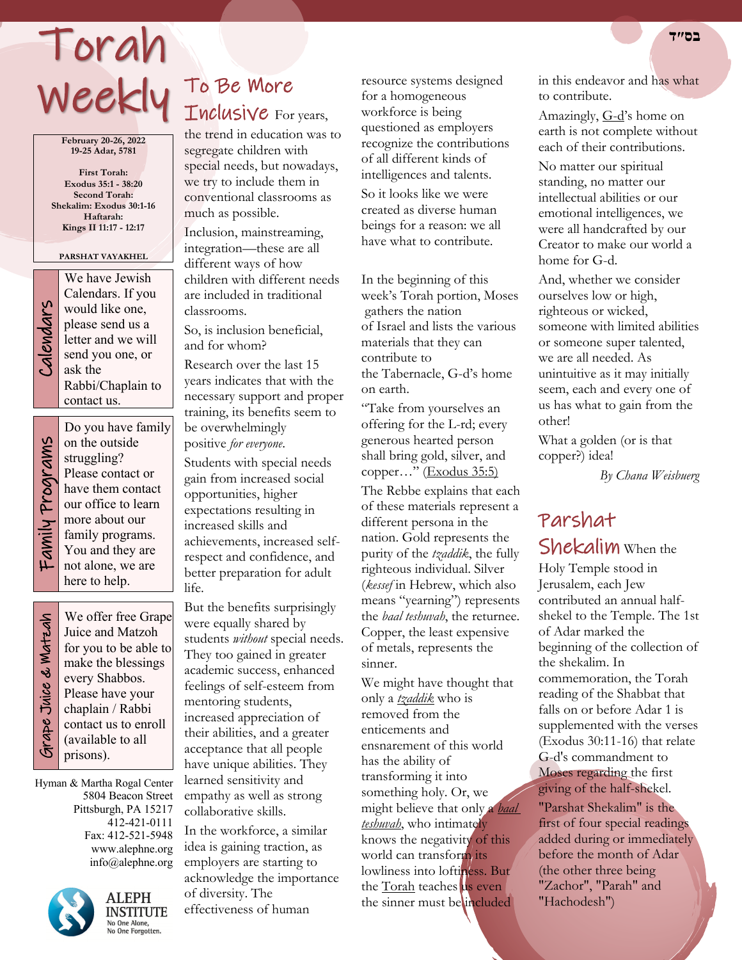## Weekly To Be More Torah

**February 20-26, 2022 19-25 Adar, 5781**

**First Torah: Exodus 35:1 - 38:20 Second Torah: Shekalim: Exodus 30:1-16 Haftarah: Kings II 11:17 - 12:17**

#### **PARSHAT VAYAKHEL**



We have Jewish<br>Calendars. If you<br>would like one,<br>please send us a<br>letter and we will<br>send you one, or<br>ask the Calendars. If you would like one, please send us a letter and we will send you one, or ask the Rabbi/Chaplain to contact us.

Family Programs Family Programs

Do you have family on the outside struggling? Please contact or have them contact our office to learn more about our family programs. You and they are not alone, we are here to help.

 Grape Juice & Matzah Grape Juice & Watzah

We offer free Grape Juice and Matzoh for you to be able to make the blessings every Shabbos. Please have your chaplain / Rabbi contact us to enroll (available to all prisons).

Hyman & Martha Rogal Center 5804 Beacon Street Pittsburgh, PA 15217 412-421-0111 Fax: 412-521-5948 www.alephne.org info@alephne.org



**ALEPH INSTITUTE** No One Alone,<br>No One Forgotten.

# Inclusive For years,

the trend in education was to segregate children with special needs, but nowadays, we try to include them in conventional classrooms as much as possible.

Inclusion, mainstreaming, integration—these are all different ways of how children with different needs are included in traditional classrooms.

So, is inclusion beneficial, and for whom?

Research over the last 15 years indicates that with the necessary support and proper training, its benefits seem to be overwhelmingly positive *for everyone*.

Students with special needs gain from increased social opportunities, higher expectations resulting in increased skills and achievements, increased selfrespect and confidence, and better preparation for adult life.

But the benefits surprisingly were equally shared by students *without* special needs. They too gained in greater academic success, enhanced feelings of self-esteem from mentoring students, increased appreciation of their abilities, and a greater acceptance that all people have unique abilities. They learned sensitivity and empathy as well as strong collaborative skills.

In the workforce, a similar idea is gaining traction, as employers are starting to acknowledge the importance of diversity. The effectiveness of human

resource systems designed for a homogeneous workforce is being questioned as employers recognize the contributions of all different kinds of intelligences and talents. So it looks like we were

created as diverse human beings for a reason: we all have what to contribute.

In the beginning of this week's Torah portion, Moses gathers the nation of Israel and lists the various materials that they can contribute to the Tabernacle, G-d's home on earth.

"Take from yourselves an offering for the L-rd; every generous hearted person shall bring gold, silver, and copper…" (Exodus 35:5)

The Rebbe explains that each of these materials represent a different persona in the nation. Gold represents the purity of the *tzaddik*, the fully righteous individual. Silver (*kessef* in Hebrew, which also means "yearning") represents the *baal teshuvah*, the returnee. Copper, the least expensive of metals, represents the sinner.

We might have thought that only a *tzaddik* who is removed from the enticements and ensnarement of this world has the ability of transforming it into something holy. Or, we might believe that only a *baal teshuvah*, who intimately knows the negativity of this world can transform its lowliness into loftiness. But the **Torah** teaches us even the sinner must be included

in this endeavor and has what to contribute.

Amazingly, G-d's home on earth is not complete without each of their contributions.

No matter our spiritual standing, no matter our intellectual abilities or our emotional intelligences, we were all handcrafted by our Creator to make our world a home for G-d.

And, whether we consider ourselves low or high, righteous or wicked, someone with limited abilities or someone super talented, we are all needed. As unintuitive as it may initially seem, each and every one of us has what to gain from the other!

What a golden (or is that copper?) idea!

 *By Chana Weisbuerg*

## Parshat Shekalim When the

Holy Temple stood in Jerusalem, each Jew contributed an annual halfshekel to the Temple. The 1st of Adar marked the beginning of the collection of the shekalim. In commemoration, the Torah reading of the Shabbat that falls on or before Adar 1 is supplemented with the verses (Exodus 30:11-16) that relate G-d's commandment to Moses regarding the first giving of the half-shekel. "Parshat Shekalim" is the first of four special readings

added during or immediately before the month of Adar (the other three being "Zachor", "Parah" and "Hachodesh")